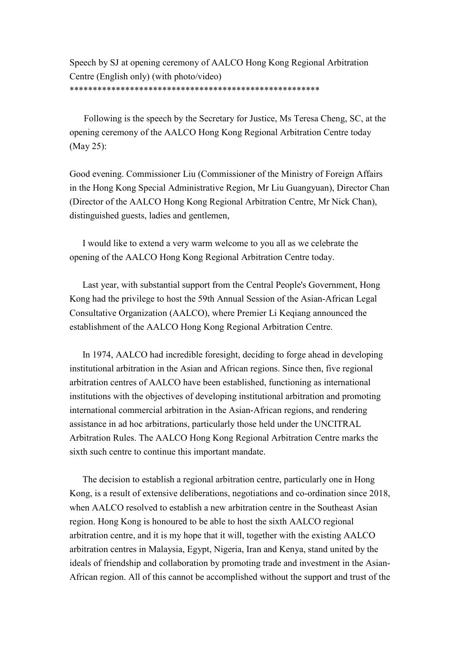Speech by SJ at opening ceremony of AALCO Hong Kong Regional Arbitration Centre (English only) (with photo/video) \*\*\*\*\*\*\*\*\*\*\*\*\*\*\*\*\*\*\*\*\*\*\*\*\*\*\*\*\*\*\*\*\*\*\*\*\*\*\*\*\*\*\*\*\*\*\*\*\*\*\*\*\*\*

Following is the speech by the Secretary for Justice, Ms Teresa Cheng, SC, at the opening ceremony of the AALCO Hong Kong Regional Arbitration Centre today (May 25):

Good evening. Commissioner Liu (Commissioner of the Ministry of Foreign Affairs in the Hong Kong Special Administrative Region, Mr Liu Guangyuan), Director Chan (Director of the AALCO Hong Kong Regional Arbitration Centre, Mr Nick Chan), distinguished guests, ladies and gentlemen,

I would like to extend a very warm welcome to you all as we celebrate the opening of the AALCO Hong Kong Regional Arbitration Centre today.

Last year, with substantial support from the Central People's Government, Hong Kong had the privilege to host the 59th Annual Session of the Asian-African Legal Consultative Organization (AALCO), where Premier Li Keqiang announced the establishment of the AALCO Hong Kong Regional Arbitration Centre.

In 1974, AALCO had incredible foresight, deciding to forge ahead in developing institutional arbitration in the Asian and African regions. Since then, five regional arbitration centres of AALCO have been established, functioning as international institutions with the objectives of developing institutional arbitration and promoting international commercial arbitration in the Asian-African regions, and rendering assistance in ad hoc arbitrations, particularly those held under the UNCITRAL Arbitration Rules. The AALCO Hong Kong Regional Arbitration Centre marks the sixth such centre to continue this important mandate.

The decision to establish a regional arbitration centre, particularly one in Hong Kong, is a result of extensive deliberations, negotiations and co-ordination since 2018, when AALCO resolved to establish a new arbitration centre in the Southeast Asian region. Hong Kong is honoured to be able to host the sixth AALCO regional arbitration centre, and it is my hope that it will, together with the existing AALCO arbitration centres in Malaysia, Egypt, Nigeria, Iran and Kenya, stand united by the ideals of friendship and collaboration by promoting trade and investment in the Asian-African region. All of this cannot be accomplished without the support and trust of the